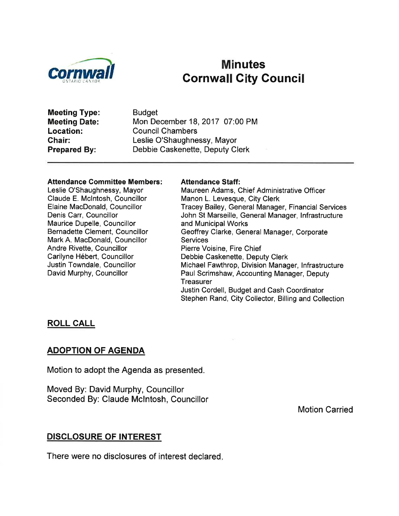

# Minutes **Cornwall City Council**

Meeting Type: Meeting Date: Location: Chair: Prepared By:

**Budget** Mon December 18,2017 07:00 PM Council Chambers Leslie O'Shaughnessy, Mayor Debbie Caskenette, Deputy Clerk

#### Attendance Gommittee Members:

Leslie O'Shaughnessy, Mayor Claude E. Mclntosh, Councillor Elaine MacDonald, Councillor Denis Carr, Councillor Maurice Dupelle, Councillor Bernadette Clement, Councillor Mark A. MacDonald, Councillor Andre Rivette, Councillor Carilyne Hébert, Councillor Justin Towndale, Councillor David Murphy, Councillor

#### Attendance Staff:

Maureen Adams, Chief Administrative Officer Manon L. Levesque, City Clerk Tracey Bailey, General Manager, Financial Services John St Marseille, General Manager, lnfrastructure and Municipal Works Geoffrey Clarke, General Manager, Corporate Services Pierre Voisine, Fire Chief Debbie Caskenette, Deputy Clerk Michael Fawthrop, Division Manager, lnfrastructure Paul Scrimshaw, Accounting Manager, Deputy **Treasurer** Justin Cordell, Budget and Cash Coordinator Stephen Rand, City Collector, Billing and Collection

#### ROLL CALL

#### ADOPTION OF AGENDA

Motion to adopt the Agenda as presented.

Moved By: David Murphy, Councillor Seconded By: Claude Mclntosh, Councillor

Motion Carried

#### DISGLOSURE OF INTEREST

There were no disclosures of interest declared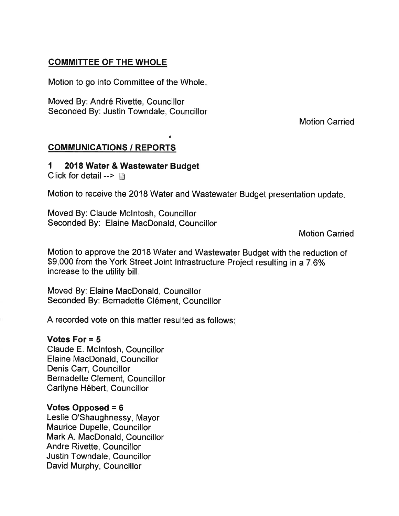## COMMITTEE OF THE WHOLE

Motion to go into Committee of the Whole

Moved By: André Rivette, Councillor Seconded By: Justin Towndale, Councillor

Motion Carried

## **COMMUNICATIONS / REPORTS**

# 1 2018 Water & Wastewater Budget

Click for detail -->  $\Box$ 

Motion to receive the 2018 Water and Wastewater Budget presentation update

a

Moved By: Claude Mclntosh, Councillor Seconded By: Elaine MacDonald, Councillor

Motion Carried

Motion to approve the 2018 Water and Wastewater Budget with the reduction of \$9,000 from the York Street Joint Infrastructure Project resulting in a 7.6% increase to the utility bill.

Moved By: Elaine MacDonald, Councillor Seconded By: Bernadette Clément, Councillor

A recorded vote on this matter resulted as follows:

### Votes For = 5

Claude E. Mclntosh, Councillor Elaine MacDonald, Councillor Denis Carr, Councillor Bernadette Clement, Councillor Carilyne Hébert, Councillor

### Votes Opposed  $= 6$

Leslie O'Shaughnessy, Mayor Maurice Dupelle, Councillor Mark A. MacDonald, Councillor Andre Rivette, Councillor Justin Towndale, Councillor David Murphy, Councillor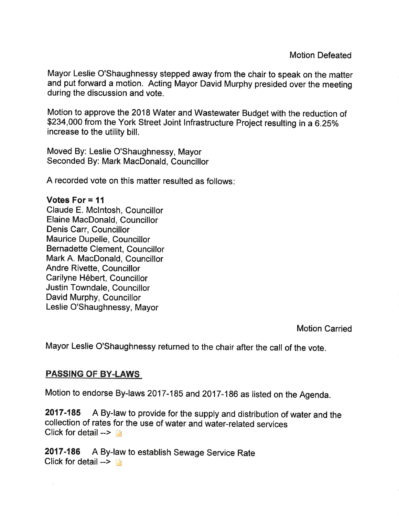Motion Defeated

Mayor Leslie O'Shaughnessy stepped away from the chair to speak on the matter and put forward a motion. Acting Mayor David Murphy presided over the meeting during the discussion and vote.

Motion to approve the 2018 Water and Wastewater Budget with the reduction of \$234,000 from the York Street Joint Infrastructure Project resulting in a 6.25% increase to the utility bill.

Moved By: Leslie O'Shaughnessy, Mayor Seconded By: Mark MacDonald, Councillor

A recorded vote on this matter resulted as follows

#### Votes For  $= 11$

Claude E. Mclntosh, Councillor Elaine MacDonald, Councillor Denis Carr, Councillor Maurice Dupelle, Councillor Bernadette Clement, Councillor Mark A. MacDonald, Councillor Andre Rivette, Councillor Carilyne Hébert, Councillor Justin Towndale, Councillor David Murphy, Councillor Leslie O'Shaughnessy, Mayor

Motion Carried

Mayor Leslie O'Shaughnessy returned to the chair after the call of the vote.

### PASSING OF BY.LAWS

 $\sim$ 

Motion to endorse By-laws 2017-185 and 2017-186 as listed on the Agenda.

2017-185 A By-law to provide for the supply and distribution of water and the collection of rates for the use of water and water-related services Click for detail  $\rightarrow \Box$ 

2017-186 A By-law to establish Sewage Service Rate Click for detail  $\rightarrow$  1